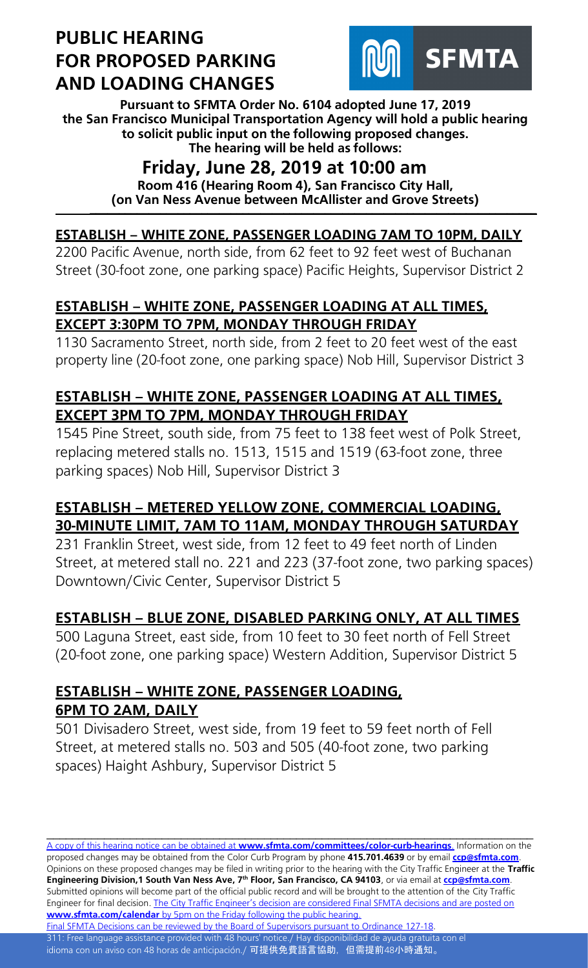

**Pursuant to SFMTA Order No. 6104 adopted June 17, 2019 the San Francisco Municipal Transportation Agency will hold a public hearing to solicit public input on the following proposed changes. The hearing will be held as follows:**

## **Friday, June 28, 2019 at 10:00 am**

**Room 416 (Hearing Room 4), San Francisco City Hall, (on Van Ness Avenue between McAllister and Grove Streets) \_\_\_\_\_\_\_\_\_\_\_\_\_\_\_\_\_\_\_\_\_\_\_\_\_\_\_\_\_\_\_\_\_\_\_\_\_\_\_\_\_\_\_\_\_\_\_\_\_\_\_\_\_\_\_\_\_\_\_\_\_\_\_\_\_\_\_\_\_\_\_\_\_\_\_\_**

## **ESTABLISH – WHITE ZONE, PASSENGER LOADING 7AM TO 10PM, DAILY**

2200 Pacific Avenue, north side, from 62 feet to 92 feet west of Buchanan Street (30-foot zone, one parking space) Pacific Heights, Supervisor District 2

#### **ESTABLISH – WHITE ZONE, PASSENGER LOADING AT ALL TIMES, EXCEPT 3:30PM TO 7PM, MONDAY THROUGH FRIDAY**

1130 Sacramento Street, north side, from 2 feet to 20 feet west of the east property line (20-foot zone, one parking space) Nob Hill, Supervisor District 3

## **ESTABLISH – WHITE ZONE, PASSENGER LOADING AT ALL TIMES, EXCEPT 3PM TO 7PM, MONDAY THROUGH FRIDAY**

1545 Pine Street, south side, from 75 feet to 138 feet west of Polk Street, replacing metered stalls no. 1513, 1515 and 1519 (63-foot zone, three parking spaces) Nob Hill, Supervisor District 3

## **ESTABLISH – METERED YELLOW ZONE, COMMERCIAL LOADING, 30-MINUTE LIMIT, 7AM TO 11AM, MONDAY THROUGH SATURDAY**

231 Franklin Street, west side, from 12 feet to 49 feet north of Linden Street, at metered stall no. 221 and 223 (37-foot zone, two parking spaces) Downtown/Civic Center, Supervisor District 5

## **ESTABLISH – BLUE ZONE, DISABLED PARKING ONLY, AT ALL TIMES**

500 Laguna Street, east side, from 10 feet to 30 feet north of Fell Street (20-foot zone, one parking space) Western Addition, Supervisor District 5

## **ESTABLISH – WHITE ZONE, PASSENGER LOADING, 6PM TO 2AM, DAILY**

501 Divisadero Street, west side, from 19 feet to 59 feet north of Fell Street, at metered stalls no. 503 and 505 (40-foot zone, two parking spaces) Haight Ashbury, Supervisor District 5

A copy of this hearing notice can be obtained at **[www.sfmta.com/committees/color-curb-hearings](https://www.sfmta.com/committees/color-curb-hearings)**. Information on the proposed changes may be obtained from the Color Curb Program by phone **415.701.4639** or by email **[ccp@sfmta.com](mailto:ccp@sfmta.com)**. Opinions on these proposed changes may be filed in writing prior to the hearing with the City Traffic Engineer at the **Traffic Engineering Division,1 South Van Ness Ave, 7 th Floor, San Francisco, CA 94103**, or via email at **[ccp@sfmta.com](mailto:ccp@sfmta.com)**. Submitted opinions will become part of the official public record and will be brought to the attention of the City Traffic Engineer for final decision. The City Traffic Engineer's decision are considered Final SFMTA decisions and are posted on **www.sfmta.com/calendar** [by 5pm on the Friday following the public hearing.](https://www.sfmta.com/calendar) [Final SFMTA Decisions can be reviewed by the Board of Supervisors pursuant to Ordinance 127-18.](https://sfbos.org/sites/default/files/o0127-18.pdf)

\_\_\_\_\_\_\_\_\_\_\_\_\_\_\_\_\_\_\_\_\_\_\_\_\_\_\_\_\_\_\_\_\_\_\_\_\_\_\_\_\_\_\_\_\_\_\_\_\_\_\_\_\_\_\_\_\_\_\_\_\_\_\_\_\_\_\_\_\_\_\_\_\_\_\_\_

311: Free language assistance provided with 48 hours' notice./ Hay disponibilidad de ayuda gratuita con el idioma con un aviso con 48 horas de anticipación./ <mark>可提供免費語言協助, 但需提前48小時通知。</mark>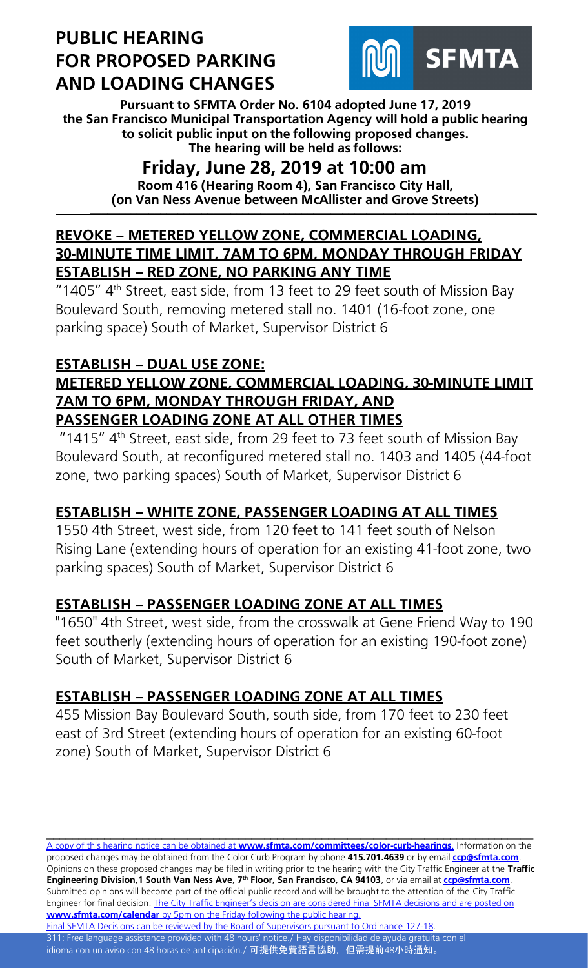

**Pursuant to SFMTA Order No. 6104 adopted June 17, 2019 the San Francisco Municipal Transportation Agency will hold a public hearing to solicit public input on the following proposed changes. The hearing will be held as follows:**

## **Friday, June 28, 2019 at 10:00 am**

**Room 416 (Hearing Room 4), San Francisco City Hall, (on Van Ness Avenue between McAllister and Grove Streets) \_\_\_\_\_\_\_\_\_\_\_\_\_\_\_\_\_\_\_\_\_\_\_\_\_\_\_\_\_\_\_\_\_\_\_\_\_\_\_\_\_\_\_\_\_\_\_\_\_\_\_\_\_\_\_\_\_\_\_\_\_\_\_\_\_\_\_\_\_\_\_\_\_\_\_\_**

#### **REVOKE – METERED YELLOW ZONE, COMMERCIAL LOADING, 30-MINUTE TIME LIMIT, 7AM TO 6PM, MONDAY THROUGH FRIDAY ESTABLISH – RED ZONE, NO PARKING ANY TIME**

"1405" 4<sup>th</sup> Street, east side, from 13 feet to 29 feet south of Mission Bay Boulevard South, removing metered stall no. 1401 (16-foot zone, one parking space) South of Market, Supervisor District 6

## **ESTABLISH – DUAL USE ZONE:**

## **METERED YELLOW ZONE, COMMERCIAL LOADING, 30-MINUTE LIMIT 7AM TO 6PM, MONDAY THROUGH FRIDAY, AND PASSENGER LOADING ZONE AT ALL OTHER TIMES**

"1415"  $4<sup>th</sup>$  Street, east side, from 29 feet to 73 feet south of Mission Bay Boulevard South, at reconfigured metered stall no. 1403 and 1405 (44-foot zone, two parking spaces) South of Market, Supervisor District 6

## **ESTABLISH – WHITE ZONE, PASSENGER LOADING AT ALL TIMES**

1550 4th Street, west side, from 120 feet to 141 feet south of Nelson Rising Lane (extending hours of operation for an existing 41-foot zone, two parking spaces) South of Market, Supervisor District 6

## **ESTABLISH – PASSENGER LOADING ZONE AT ALL TIMES**

"1650" 4th Street, west side, from the crosswalk at Gene Friend Way to 190 feet southerly (extending hours of operation for an existing 190-foot zone) South of Market, Supervisor District 6

## **ESTABLISH – PASSENGER LOADING ZONE AT ALL TIMES**

455 Mission Bay Boulevard South, south side, from 170 feet to 230 feet east of 3rd Street (extending hours of operation for an existing 60-foot zone) South of Market, Supervisor District 6

A copy of this hearing notice can be obtained at **[www.sfmta.com/committees/color-curb-hearings](https://www.sfmta.com/committees/color-curb-hearings)**. Information on the proposed changes may be obtained from the Color Curb Program by phone **415.701.4639** or by email **[ccp@sfmta.com](mailto:ccp@sfmta.com)**. Opinions on these proposed changes may be filed in writing prior to the hearing with the City Traffic Engineer at the **Traffic Engineering Division,1 South Van Ness Ave, 7 th Floor, San Francisco, CA 94103**, or via email at **[ccp@sfmta.com](mailto:ccp@sfmta.com)**. Submitted opinions will become part of the official public record and will be brought to the attention of the City Traffic Engineer for final decision. The City Traffic Engineer's decision are considered Final SFMTA decisions and are posted on **www.sfmta.com/calendar** [by 5pm on the Friday following the public hearing.](https://www.sfmta.com/calendar) [Final SFMTA Decisions can be reviewed by the Board of Supervisors pursuant to Ordinance 127-18.](https://sfbos.org/sites/default/files/o0127-18.pdf)

\_\_\_\_\_\_\_\_\_\_\_\_\_\_\_\_\_\_\_\_\_\_\_\_\_\_\_\_\_\_\_\_\_\_\_\_\_\_\_\_\_\_\_\_\_\_\_\_\_\_\_\_\_\_\_\_\_\_\_\_\_\_\_\_\_\_\_\_\_\_\_\_\_\_\_\_

311: Free language assistance provided with 48 hours' notice./ Hay disponibilidad de ayuda gratuita con el idioma con un aviso con 48 horas de anticipación./ <mark>可提供免費語言協助, 但需提前48小時通知。</mark>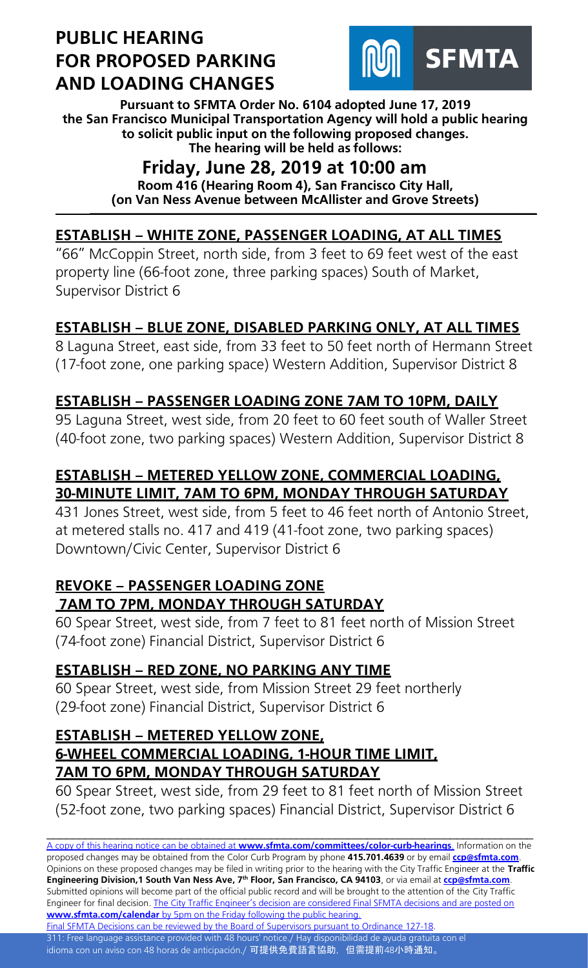

**Pursuant to SFMTA Order No. 6104 adopted June 17, 2019 the San Francisco Municipal Transportation Agency will hold a public hearing to solicit public input on the following proposed changes. The hearing will be held as follows:**

# **Friday, June 28, 2019 at 10:00 am**

**Room 416 (Hearing Room 4), San Francisco City Hall, (on Van Ness Avenue between McAllister and Grove Streets) \_\_\_\_\_\_\_\_\_\_\_\_\_\_\_\_\_\_\_\_\_\_\_\_\_\_\_\_\_\_\_\_\_\_\_\_\_\_\_\_\_\_\_\_\_\_\_\_\_\_\_\_\_\_\_\_\_\_\_\_\_\_\_\_\_\_\_\_\_\_\_\_\_\_\_\_**

## **ESTABLISH – WHITE ZONE, PASSENGER LOADING, AT ALL TIMES**

"66" McCoppin Street, north side, from 3 feet to 69 feet west of the east property line (66-foot zone, three parking spaces) South of Market, Supervisor District 6

## **ESTABLISH – BLUE ZONE, DISABLED PARKING ONLY, AT ALL TIMES**

8 Laguna Street, east side, from 33 feet to 50 feet north of Hermann Street (17-foot zone, one parking space) Western Addition, Supervisor District 8

## **ESTABLISH – PASSENGER LOADING ZONE 7AM TO 10PM, DAILY**

95 Laguna Street, west side, from 20 feet to 60 feet south of Waller Street (40-foot zone, two parking spaces) Western Addition, Supervisor District 8

## **ESTABLISH – METERED YELLOW ZONE, COMMERCIAL LOADING, 30-MINUTE LIMIT, 7AM TO 6PM, MONDAY THROUGH SATURDAY**

431 Jones Street, west side, from 5 feet to 46 feet north of Antonio Street, at metered stalls no. 417 and 419 (41-foot zone, two parking spaces) Downtown/Civic Center, Supervisor District 6

#### **REVOKE – PASSENGER LOADING ZONE 7AM TO 7PM, MONDAY THROUGH SATURDAY**

60 Spear Street, west side, from 7 feet to 81 feet north of Mission Street (74-foot zone) Financial District, Supervisor District 6

## **ESTABLISH – RED ZONE, NO PARKING ANY TIME**

60 Spear Street, west side, from Mission Street 29 feet northerly (29-foot zone) Financial District, Supervisor District 6

#### **ESTABLISH – METERED YELLOW ZONE, 6-WHEEL COMMERCIAL LOADING, 1-HOUR TIME LIMIT, 7AM TO 6PM, MONDAY THROUGH SATURDAY**

60 Spear Street, west side, from 29 feet to 81 feet north of Mission Street (52-foot zone, two parking spaces) Financial District, Supervisor District 6

\_\_\_\_\_\_\_\_\_\_\_\_\_\_\_\_\_\_\_\_\_\_\_\_\_\_\_\_\_\_\_\_\_\_\_\_\_\_\_\_\_\_\_\_\_\_\_\_\_\_\_\_\_\_\_\_\_\_\_\_\_\_\_\_\_\_\_\_\_\_\_\_\_\_\_\_

A copy of this hearing notice can be obtained at **[www.sfmta.com/committees/color-curb-hearings](https://www.sfmta.com/committees/color-curb-hearings)**. Information on the proposed changes may be obtained from the Color Curb Program by phone **415.701.4639** or by email **[ccp@sfmta.com](mailto:ccp@sfmta.com)**. Opinions on these proposed changes may be filed in writing prior to the hearing with the City Traffic Engineer at the **Traffic Engineering Division,1 South Van Ness Ave, 7 th Floor, San Francisco, CA 94103**, or via email at **[ccp@sfmta.com](mailto:ccp@sfmta.com)**. Submitted opinions will become part of the official public record and will be brought to the attention of the City Traffic Engineer for final decision. The City Traffic Engineer's decision are considered Final SFMTA decisions and are posted on **www.sfmta.com/calendar** [by 5pm on the Friday following the public hearing.](https://www.sfmta.com/calendar)

[Final SFMTA Decisions can be reviewed by the Board of Supervisors pursuant to Ordinance 127-18.](https://sfbos.org/sites/default/files/o0127-18.pdf) 311: Free language assistance provided with 48 hours' notice./ Hay disponibilidad de ayuda gratuita con el idioma con un aviso con 48 horas de anticipación./ 可提供免費語言協助, 但需提前48小時通知。